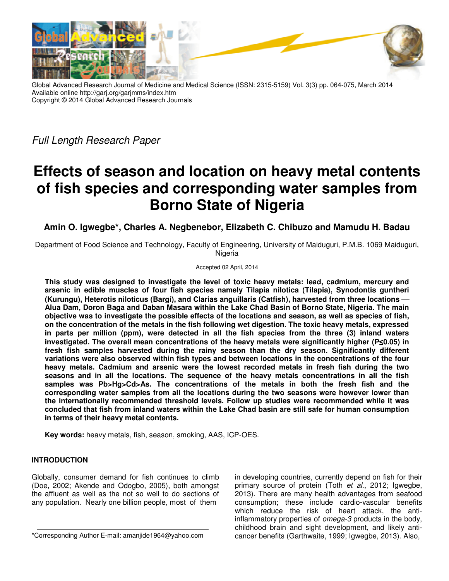

Global Advanced Research Journal of Medicine and Medical Science (ISSN: 2315-5159) Vol. 3(3) pp. 064-075, March 2014 Available online http://garj.org/garjmms/index.htm Copyright © 2014 Global Advanced Research Journals

Full Length Research Paper

# **Effects of season and location on heavy metal contents of fish species and corresponding water samples from Borno State of Nigeria**

**Amin O. Igwegbe\*, Charles A. Negbenebor, Elizabeth C. Chibuzo and Mamudu H. Badau** 

Department of Food Science and Technology, Faculty of Engineering, University of Maiduguri, P.M.B. 1069 Maiduguri, Nigeria

#### Accepted 02 April, 2014

**This study was designed to investigate the level of toxic heavy metals: lead, cadmium, mercury and arsenic in edible muscles of four fish species namely Tilapia nilotica (Tilapia), Synodontis guntheri (Kurungu), Heterotis niloticus (Bargi), and Clarias anguillaris (Catfish), harvested from three locations Alua Dam, Doron Baga and Daban Masara within the Lake Chad Basin of Borno State, Nigeria. The main objective was to investigate the possible effects of the locations and season, as well as species of fish, on the concentration of the metals in the fish following wet digestion. The toxic heavy metals, expressed in parts per million (ppm), were detected in all the fish species from the three (3) inland waters investigated. The overall mean concentrations of the heavy metals were significantly higher (P**≤**0.05) in fresh fish samples harvested during the rainy season than the dry season. Significantly different variations were also observed within fish types and between locations in the concentrations of the four heavy metals. Cadmium and arsenic were the lowest recorded metals in fresh fish during the two seasons and in all the locations. The sequence of the heavy metals concentrations in all the fish samples was Pb>Hg>Cd>As. The concentrations of the metals in both the fresh fish and the corresponding water samples from all the locations during the two seasons were however lower than the internationally recommended threshold levels. Follow up studies were recommended while it was concluded that fish from inland waters within the Lake Chad basin are still safe for human consumption in terms of their heavy metal contents.** 

**Key words:** heavy metals, fish, season, smoking, AAS, ICP-OES.

# **INTRODUCTION**

Globally, consumer demand for fish continues to climb (Doe, 2002; Akende and Odogbo, 2005), both amongst the affluent as well as the not so well to do sections of any population. Nearly one billion people, most of them

in developing countries, currently depend on fish for their primary source of protein (Toth et al., 2012; Igwegbe, 2013). There are many health advantages from seafood consumption; these include cardio-vascular benefits which reduce the risk of heart attack, the antiinflammatory properties of *omega-3* products in the body, childhood brain and sight development, and likely anticancer benefits (Garthwaite, 1999; Igwegbe, 2013). Also,

<sup>\*</sup>Corresponding Author E-mail: amanjide1964@yahoo.com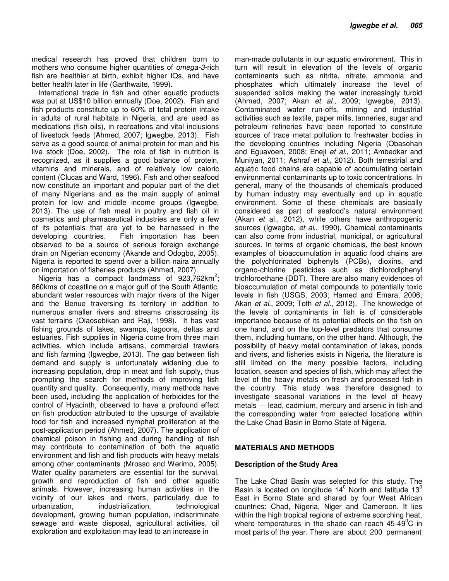medical research has proved that children born to mothers who consume higher quantities of *omega-3-rich* fish are healthier at birth, exhibit higher IQs, and have better health later in life (Garthwaite, 1999).

International trade in fish and other aquatic products was put at US\$10 billion annually (Doe, 2002). Fish and fish products constitute up to 60% of total protein intake in adults of rural habitats in Nigeria, and are used as medications (fish oils), in recreations and vital inclusions of livestock feeds (Ahmed, 2007; Igwegbe, 2013). Fish serve as a good source of animal protein for man and his live stock (Doe, 2002). The role of fish in nutrition is recognized, as it supplies a good balance of protein, vitamins and minerals, and of relatively low caloric content (Clucas and Ward, 1996). Fish and other seafood now constitute an important and popular part of the diet of many Nigerians and as the main supply of animal protein for low and middle income groups (Igwegbe, 2013). The use of fish meal in poultry and fish oil in cosmetics and pharmaceutical industries are only a few of its potentials that are yet to be harnessed in the developing countries. Fish importation has been observed to be a source of serious foreign exchange drain on Nigerian economy (Akande and Odogbo, 2005). Nigeria is reported to spend over a billion naira annually on importation of fisheries products (Ahmed, 2007).

Nigeria has a compact landmass of  $923,762$ km<sup>2</sup>; 860kms of coastline on a major gulf of the South Atlantic, abundant water resources with major rivers of the Niger and the Benue traversing its territory in addition to numerous smaller rivers and streams crisscrossing its vast terrains (Olaosebikan and Raji, 1998). It has vast fishing grounds of lakes, swamps, lagoons, deltas and estuaries. Fish supplies in Nigeria come from three main activities, which include artisans, commercial trawlers and fish farming (Igwegbe, 2013). The gap between fish demand and supply is unfortunately widening due to increasing population, drop in meat and fish supply, thus prompting the search for methods of improving fish quantity and quality. Consequently, many methods have been used, including the application of herbicides for the control of Hyacinth, observed to have a profound effect on fish production attributed to the upsurge of available food for fish and increased nymphal proliferation at the post-application period (Ahmed, 2007). The application of chemical poison in fishing and during handling of fish may contribute to contamination of both the aquatic environment and fish and fish products with heavy metals among other contaminants (Mrosso and Werimo, 2005). Water quality parameters are essential for the survival, growth and reproduction of fish and other aquatic animals. However, increasing human activities in the vicinity of our lakes and rivers, particularly due to urbanization, industrialization, technological development, growing human population, indiscriminate sewage and waste disposal, agricultural activities, oil exploration and exploitation may lead to an increase in

man-made pollutants in our aquatic environment. This in turn will result in elevation of the levels of organic contaminants such as nitrite, nitrate, ammonia and phosphates which ultimately increase the level of suspended solids making the water increasingly turbid (Ahmed, 2007; Akan et al., 2009; Igwegbe, 2013). Contaminated water run-offs, mining and industrial activities such as textile, paper mills, tanneries, sugar and petroleum refineries have been reported to constitute sources of trace metal pollution to freshwater bodies in the developing countries including Nigeria (Obasohan and Eguavoen, 2008; Eneji et al., 2011; Ambedkar and Muniyan, 2011; Ashraf et al., 2012). Both terrestrial and aquatic food chains are capable of accumulating certain environmental contaminants up to toxic concentrations. In general, many of the thousands of chemicals produced by human industry may eventually end up in aquatic environment. Some of these chemicals are basically considered as part of seafood's natural environment (Akan et al., 2012), while others have anthropogenic sources (Igwegbe, *et al.*, 1990). Chemical contaminants can also come from industrial, municipal, or agricultural sources. In terms of organic chemicals, the best known examples of bioaccumulation in aquatic food chains are the polychlorinated biphenyls (PCBs), dioxins, and organo-chlorine pesticides such as dichlorodiphenyl trichloroethane (DDT). There are also many evidences of bioaccumulation of metal compounds to potentially toxic levels in fish (USGS, 2003; Hamed and Emara, 2006; Akan et al., 2009; Toth et al., 2012). The knowledge of the levels of contaminants in fish is of considerable importance because of its potential effects on the fish on one hand, and on the top-level predators that consume them, including humans, on the other hand. Although, the possibility of heavy metal contamination of lakes, ponds and rivers, and fisheries exists in Nigeria, the literature is still limited on the many possible factors, including location, season and species of fish, which may affect the level of the heavy metals on fresh and processed fish in the country. This study was therefore designed to investigate seasonal variations in the level of heavy metals – lead, cadmium, mercury and arsenic in fish and the corresponding water from selected locations within the Lake Chad Basin in Borno State of Nigeria.

#### **MATERIALS AND METHODS**

#### **Description of the Study Area**

The Lake Chad Basin was selected for this study. The Basin is located on longitude 14 $^0$  North and latitude 13 $^0$ East in Borno State and shared by four West African countries: Chad, Nigeria, Niger and Cameroon. It lies within the high tropical regions of extreme scorching heat, where temperatures in the shade can reach  $45-49^{\circ}$ C in most parts of the year. There are about 200 permanent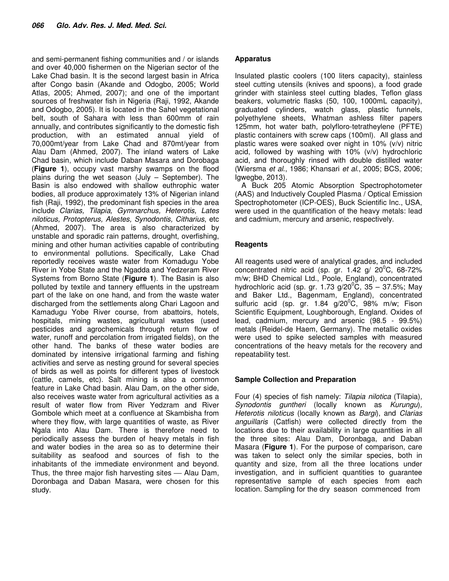and semi-permanent fishing communities and / or islands and over 40,000 fishermen on the Nigerian sector of the Lake Chad basin. It is the second largest basin in Africa after Congo basin (Akande and Odogbo, 2005; World Atlas, 2005; Ahmed, 2007); and one of the important sources of freshwater fish in Nigeria (Raji, 1992, Akande and Odogbo, 2005). It is located in the Sahel vegetational belt, south of Sahara with less than 600mm of rain annually, and contributes significantly to the domestic fish production, with an estimated annual yield of 70,000mt/year from Lake Chad and 870mt/year from Alau Dam (Ahmed, 2007). The inland waters of Lake Chad basin, which include Daban Masara and Dorobaga (**Figure 1**), occupy vast marshy swamps on the flood plains during the wet season (July – September). The Basin is also endowed with shallow euthrophic water bodies, all produce approximately 13% of Nigerian inland fish (Raji, 1992), the predominant fish species in the area include Clarias, Tilapia, Gymnarchus, Heterotis, Lates niloticus, Protopterus, Alestes, Synodontis, Citharius, etc (Ahmed, 2007). The area is also characterized by unstable and sporadic rain patterns, drought, overfishing, mining and other human activities capable of contributing to environmental pollutions. Specifically, Lake Chad reportedly receives waste water from Komadugu Yobe River in Yobe State and the Ngadda and Yedzeram River Systems from Borno State (**Figure 1**). The Basin is also polluted by textile and tannery effluents in the upstream part of the lake on one hand, and from the waste water discharged from the settlements along Chari Lagoon and Kamadugu Yobe River course, from abattoirs, hotels, hospitals, mining wastes, agricultural wastes (used pesticides and agrochemicals through return flow of water, runoff and percolation from irrigated fields), on the other hand. The banks of these water bodies are dominated by intensive irrigational farming and fishing activities and serve as nesting ground for several species of birds as well as points for different types of livestock (cattle, camels, etc). Salt mining is also a common feature in Lake Chad basin. Alau Dam, on the other side, also receives waste water from agricultural activities as a result of water flow from River Yedzram and River Gombole which meet at a confluence at Skambisha from where they flow, with large quantities of waste, as River Ngala into Alau Dam. There is therefore need to periodically assess the burden of heavy metals in fish and water bodies in the area so as to determine their suitability as seafood and sources of fish to the inhabitants of the immediate environment and beyond. Thus, the three major fish harvesting sites  $-$  Alau Dam, Doronbaga and Daban Masara, were chosen for this study.

#### **Apparatus**

Insulated plastic coolers (100 liters capacity), stainless steel cutting utensils (knives and spoons), a food grade grinder with stainless steel cutting blades, Teflon glass beakers, volumetric flasks (50, 100, 1000mL capacity), graduated cylinders, watch glass, plastic funnels, polyethylene sheets, Whatman ashless filter papers 125mm, hot water bath, polyfloro-tetratheylene (PFTE) plastic containers with screw caps (100ml). All glass and plastic wares were soaked over night in 10% (v/v) nitric acid, followed by washing with 10% (v/v) hydrochloric acid, and thoroughly rinsed with double distilled water (Wiersma et al., 1986; Khansari et al., 2005; BCS, 2006; Igwegbe, 2013).

A Buck 205 Atomic Absorption Spectrophotometer (AAS) and Inductively Coupled Plasma / Optical Emission Spectrophotometer (ICP-OES), Buck Scientific Inc., USA, were used in the quantification of the heavy metals: lead and cadmium, mercury and arsenic, respectively.

# **Reagents**

All reagents used were of analytical grades, and included concentrated nitric acid (sp. gr. 1.42 g/  $20^{\circ}$ C, 68-72% m/w; BHD Chemical Ltd., Poole, England), concentrated hydrochloric acid (sp. gr. 1.73 g/20 $^{\circ}$ C, 35 – 37.5%; May and Baker Ltd., Bagenmam, England), concentrated sulfuric acid (sp. gr.  $1.84$  g/20<sup>°</sup>C, 98% m/w; Fison Scientific Equipment, Loughborough, England. Oxides of lead, cadmium, mercury and arsenic (98.5 - 99.5%) metals (Reidel-de Haem, Germany). The metallic oxides were used to spike selected samples with measured concentrations of the heavy metals for the recovery and repeatability test.

# **Sample Collection and Preparation**

Four (4) species of fish namely: Tilapia nilotica (Tilapia), Synodontis guntheri (locally known as Kurungu), Heterotis niloticus (locally known as Bargi), and Clarias anguillaris (Catfish) were collected directly from the locations due to their availability in large quantities in all the three sites: Alau Dam, Doronbaga, and Daban Masara (**Figure 1**). For the purpose of comparison, care was taken to select only the similar species, both in quantity and size, from all the three locations under investigation, and in sufficient quantities to guarantee representative sample of each species from each location. Sampling for the dry season commenced from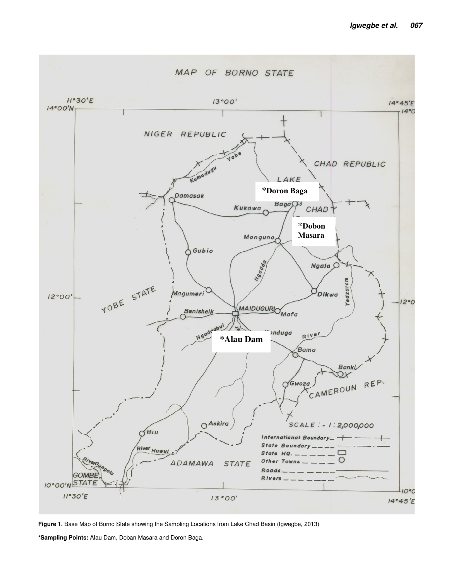

**Figure 1.** Base Map of Borno State showing the Sampling Locations from Lake Chad Basin (Igwegbe, 2013)

**\*Sampling Points:** Alau Dam, Doban Masara and Doron Baga.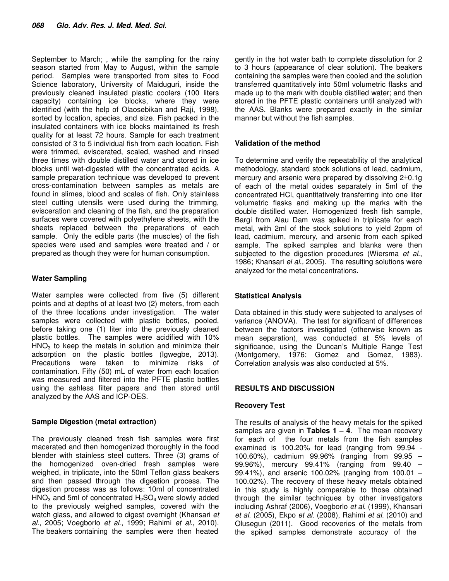September to March; , while the sampling for the rainy season started from May to August, within the sample period. Samples were transported from sites to Food Science laboratory, University of Maiduguri, inside the previously cleaned insulated plastic coolers (100 liters capacity) containing ice blocks, where they were identified (with the help of Olaosebikan and Raji, 1998), sorted by location, species, and size. Fish packed in the insulated containers with ice blocks maintained its fresh quality for at least 72 hours. Sample for each treatment consisted of 3 to 5 individual fish from each location. Fish were trimmed, eviscerated, scaled, washed and rinsed three times with double distilled water and stored in ice blocks until wet-digested with the concentrated acids. A sample preparation technique was developed to prevent cross-contamination between samples as metals are found in slimes, blood and scales of fish. Only stainless steel cutting utensils were used during the trimming, evisceration and cleaning of the fish, and the preparation surfaces were covered with polyethylene sheets, with the sheets replaced between the preparations of each sample. Only the edible parts (the muscles) of the fish species were used and samples were treated and / or prepared as though they were for human consumption.

# **Water Sampling**

Water samples were collected from five (5) different points and at depths of at least two (2) meters, from each of the three locations under investigation. The water samples were collected with plastic bottles, pooled, before taking one (1) liter into the previously cleaned plastic bottles. The samples were acidified with 10%  $HNO<sub>3</sub>$  to keep the metals in solution and minimize their adsorption on the plastic bottles (Igwegbe, 2013). Precautions were taken to minimize risks of contamination. Fifty (50) mL of water from each location was measured and filtered into the PFTE plastic bottles using the ashless filter papers and then stored until analyzed by the AAS and ICP-OES.

# **Sample Digestion (metal extraction)**

The previously cleaned fresh fish samples were first macerated and then homogenized thoroughly in the food blender with stainless steel cutters. Three (3) grams of the homogenized oven-dried fresh samples were weighed, in triplicate, into the 50ml Teflon glass beakers and then passed through the digestion process. The digestion process was as follows: 10ml of concentrated  $HNO<sub>3</sub>$  and 5ml of concentrated  $H<sub>2</sub>SO<sub>4</sub>$  were slowly added to the previously weighed samples, covered with the watch glass, and allowed to digest overnight (Khansari et al., 2005; Voegborlo et al., 1999; Rahimi et al., 2010). The beakers containing the samples were then heated

gently in the hot water bath to complete dissolution for 2 to 3 hours (appearance of clear solution). The beakers containing the samples were then cooled and the solution transferred quantitatively into 50ml volumetric flasks and made up to the mark with double distilled water; and then stored in the PFTE plastic containers until analyzed with the AAS. Blanks were prepared exactly in the similar manner but without the fish samples.

# **Validation of the method**

To determine and verify the repeatability of the analytical methodology, standard stock solutions of lead, cadmium, mercury and arsenic were prepared by dissolving 2±0.1g of each of the metal oxides separately in 5ml of the concentrated HCl, quantitatively transferring into one liter volumetric flasks and making up the marks with the double distilled water. Homogenized fresh fish sample, Bargi from Alau Dam was spiked in triplicate for each metal, with 2ml of the stock solutions to yield 2ppm of lead, cadmium, mercury, and arsenic from each spiked sample. The spiked samples and blanks were then subjected to the digestion procedures (Wiersma et al., 1986; Khansari el al., 2005). The resulting solutions were analyzed for the metal concentrations.

# **Statistical Analysis**

Data obtained in this study were subjected to analyses of variance (ANOVA). The test for significant of differences between the factors investigated (otherwise known as mean separation), was conducted at 5% levels of significance, using the Duncan's Multiple Range Test (Montgomery, 1976; Gomez and Gomez, 1983). Correlation analysis was also conducted at 5%.

# **RESULTS AND DISCUSSION**

# **Recovery Test**

The results of analysis of the heavy metals for the spiked samples are given in **Tables 1 – 4**. The mean recovery for each of the four metals from the fish samples examined is 100.20% for lead (ranging from 99.94 - 100.60%), cadmium 99.96% (ranging from 99.95 – 99.96%), mercury 99.41% (ranging from 99.40 – 99.41%), and arsenic 100.02% (ranging from 100.01 – 100.02%). The recovery of these heavy metals obtained in this study is highly comparable to those obtained through the similar techniques by other investigators including Ashraf (2006), Voegborlo et al. (1999), Khansari et al. (2005), Ekpo et al. (2008), Rahimi et al. (2010) and Olusegun (2011). Good recoveries of the metals from the spiked samples demonstrate accuracy of the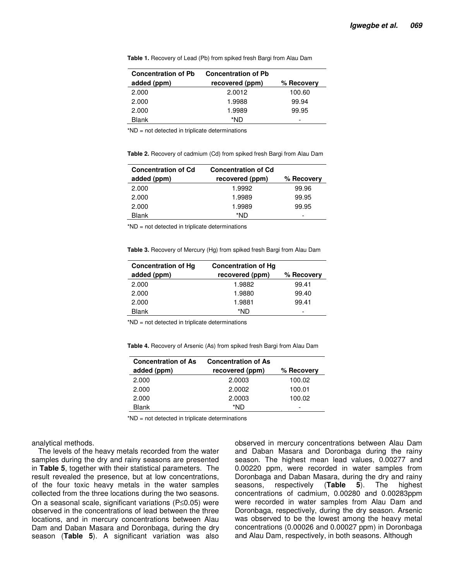**Table 1.** Recovery of Lead (Pb) from spiked fresh Bargi from Alau Dam

| <b>Concentration of Pb</b> | <b>Concentration of Pb</b> |            |
|----------------------------|----------------------------|------------|
| added (ppm)                | recovered (ppm)            | % Recovery |
| 2.000                      | 2.0012                     | 100.60     |
| 2.000                      | 1.9988                     | 99.94      |
| 2.000                      | 1.9989                     | 99.95      |
| Blank                      | *ND                        |            |

\*ND = not detected in triplicate determinations

**Table 2.** Recovery of cadmium (Cd) from spiked fresh Bargi from Alau Dam

| <b>Concentration of Cd</b> | <b>Concentration of Cd</b> |            |
|----------------------------|----------------------------|------------|
| added (ppm)                | recovered (ppm)            | % Recovery |
| 2.000                      | 1.9992                     | 99.96      |
| 2.000                      | 1.9989                     | 99.95      |
| 2.000                      | 1.9989                     | 99.95      |
| <b>Blank</b>               | *ND                        | -          |

\*ND = not detected in triplicate determinations

**Table 3.** Recovery of Mercury (Hg) from spiked fresh Bargi from Alau Dam

| <b>Concentration of Hg</b> | <b>Concentration of Hg</b> |            |
|----------------------------|----------------------------|------------|
| added (ppm)                | recovered (ppm)            | % Recovery |
| 2.000                      | 1.9882                     | 99.41      |
| 2.000                      | 1.9880                     | 99.40      |
| 2.000                      | 1.9881                     | 99.41      |
| <b>Blank</b>               | *ND                        | -          |

\*ND = not detected in triplicate determinations

**Table 4.** Recovery of Arsenic (As) from spiked fresh Bargi from Alau Dam

| <b>Concentration of As</b> | <b>Concentration of As</b> |            |  |  |
|----------------------------|----------------------------|------------|--|--|
| added (ppm)                | recovered (ppm)            | % Recovery |  |  |
| 2.000                      | 2.0003                     | 100.02     |  |  |
| 2.000                      | 2.0002                     | 100.01     |  |  |
| 2.000                      | 2.0003                     | 100.02     |  |  |
| <b>Blank</b>               | *ND                        | -          |  |  |

\*ND = not detected in triplicate determinations

analytical methods.

The levels of the heavy metals recorded from the water samples during the dry and rainy seasons are presented in **Table 5**, together with their statistical parameters. The result revealed the presence, but at low concentrations, of the four toxic heavy metals in the water samples collected from the three locations during the two seasons. On a seasonal scale, significant variations (P≤0.05) were observed in the concentrations of lead between the three locations, and in mercury concentrations between Alau Dam and Daban Masara and Doronbaga, during the dry season (**Table 5**). A significant variation was also

observed in mercury concentrations between Alau Dam and Daban Masara and Doronbaga during the rainy season. The highest mean lead values, 0.00277 and 0.00220 ppm, were recorded in water samples from Doronbaga and Daban Masara, during the dry and rainy seasons, respectively (**Table 5**). The highest concentrations of cadmium, 0.00280 and 0.00283ppm were recorded in water samples from Alau Dam and Doronbaga, respectively, during the dry season. Arsenic was observed to be the lowest among the heavy metal concentrations (0.00026 and 0.00027 ppm) in Doronbaga and Alau Dam, respectively, in both seasons. Although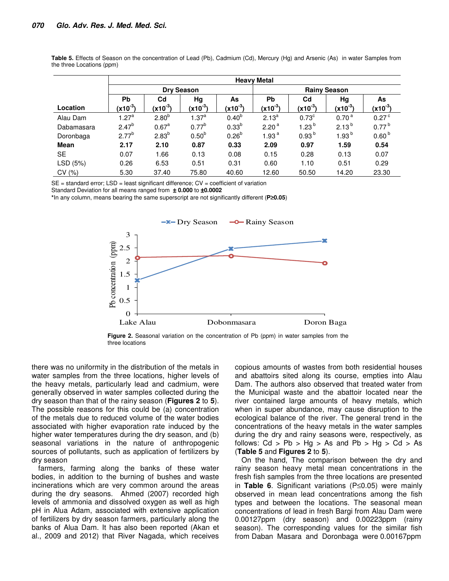| Table 5. Effects of Season on the concentration of Lead (Pb), Cadmium (Cd), Mercury (Hg) and Arsenic (As) in water Samples from<br>the three Locations (ppm) |  |  |  |  |  |  |  |  |
|--------------------------------------------------------------------------------------------------------------------------------------------------------------|--|--|--|--|--|--|--|--|
|                                                                                                                                                              |  |  |  |  |  |  |  |  |

|             | <b>Heavy Metal</b> |                   |                   |              |                     |                   |                      |                     |  |  |  |
|-------------|--------------------|-------------------|-------------------|--------------|---------------------|-------------------|----------------------|---------------------|--|--|--|
|             |                    |                   | <b>Dry Season</b> |              | <b>Rainy Season</b> |                   |                      |                     |  |  |  |
|             | <b>Pb</b>          | C <sub>d</sub>    | Hg                | As           | <b>Pb</b>           | C <sub>d</sub>    | Hg                   | As                  |  |  |  |
| Location    | $(x10^{-3})$       | $(x10^{-3})$      | $(x10^{-3})$      | $(x10^{-3})$ | $(x10^{-3})$        | $(x10^{-3})$      | (x10 <sup>-3</sup> ) | $(x10^{-3})$        |  |  |  |
| Alau Dam    | 1.27 <sup>a</sup>  | 2.80 <sup>b</sup> | 1.37 <sup>a</sup> | $0.40^{b}$   | $2.13^{a}$          | $0.73^{\circ}$    | 0.70 <sup>a</sup>    | $0.27$ <sup>c</sup> |  |  |  |
| Dabamasara  | $2.47^{b}$         | 0.67 <sup>a</sup> | $0.77^{b}$        | $0.33^{b}$   | 2.20 <sup>a</sup>   | 1.23 <sup>b</sup> | $2.13^{b}$           | $0.77^{b}$          |  |  |  |
| Doronbaga   | $2.77^{b}$         | $2.83^{b}$        | $0.50^{b}$        | $0.26^{b}$   | 1.93 $a$            | 0.93 <sup>b</sup> | 1.93 <sup>b</sup>    | 0.60 <sup>b</sup>   |  |  |  |
| <b>Mean</b> | 2.17               | 2.10              | 0.87              | 0.33         | 2.09                | 0.97              | 1.59                 | 0.54                |  |  |  |
| <b>SE</b>   | 0.07               | 1.66              | 0.13              | 0.08         | 0.15                | 0.28              | 0.13                 | 0.07                |  |  |  |
| LSD (5%)    | 0.26               | 6.53              | 0.51              | 0.31         | 0.60                | 1.10              | 0.51                 | 0.29                |  |  |  |
| CV (%)      | 5.30               | 37.40             | 75.80             | 40.60        | 12.60               | 50.50             | 14.20                | 23.30               |  |  |  |

 $SE =$  standard error;  $LSD =$  least significant difference;  $CV =$  coefficient of variation

Standard Deviation for all means ranged from ± **0.000** to ±**0.0002**

**\***In any column, means bearing the same superscript are not significantly different (**P**≥**0.05**)



**Figure 2.** Seasonal variation on the concentration of Pb (ppm) in water samples from the three locations

there was no uniformity in the distribution of the metals in water samples from the three locations, higher levels of the heavy metals, particularly lead and cadmium, were generally observed in water samples collected during the dry season than that of the rainy season (**Figures 2** to **5**). The possible reasons for this could be (a) concentration of the metals due to reduced volume of the water bodies associated with higher evaporation rate induced by the higher water temperatures during the dry season, and (b) seasonal variations in the nature of anthropogenic sources of pollutants, such as application of fertilizers by dry season

farmers, farming along the banks of these water bodies, in addition to the burning of bushes and waste incinerations which are very common around the areas during the dry seasons. Ahmed (2007) recorded high levels of ammonia and dissolved oxygen as well as high pH in Alua Adam, associated with extensive application of fertilizers by dry season farmers, particularly along the banks of Alua Dam. It has also been reported (Akan et al., 2009 and 2012) that River Nagada, which receives copious amounts of wastes from both residential houses and abattoirs sited along its course, empties into Alau Dam. The authors also observed that treated water from the Municipal waste and the abattoir located near the river contained large amounts of heavy metals, which when in super abundance, may cause disruption to the ecological balance of the river. The general trend in the concentrations of the heavy metals in the water samples during the dry and rainy seasons were, respectively, as follows:  $Cd > Pb > Hg > As$  and  $Pb > Hg > Cd > As$ (**Table 5** and **Figures 2** to **5**).

On the hand, The comparison between the dry and rainy season heavy metal mean concentrations in the fresh fish samples from the three locations are presented in **Table 6**. Significant variations (P≤0.05) were mainly observed in mean lead concentrations among the fish types and between the locations. The seasonal mean concentrations of lead in fresh Bargi from Alau Dam were 0.00127ppm (dry season) and 0.00223ppm (rainy season). The corresponding values for the similar fish from Daban Masara and Doronbaga were 0.00167ppm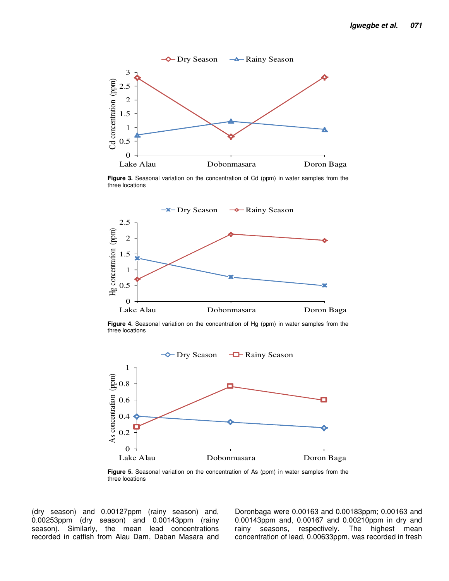

**Figure 3.** Seasonal variation on the concentration of Cd (ppm) in water samples from the three locations



**Figure 4.** Seasonal variation on the concentration of Hg (ppm) in water samples from the three locations



**Figure 5.** Seasonal variation on the concentration of As (ppm) in water samples from the three locations

(dry season) and 0.00127ppm (rainy season) and, 0.00253ppm (dry season) and 0.00143ppm (rainy season). Similarly, the mean lead concentrations recorded in catfish from Alau Dam, Daban Masara and Doronbaga were 0.00163 and 0.00183ppm; 0.00163 and 0.00143ppm and, 0.00167 and 0.00210ppm in dry and rainy seasons, respectively. The highest mean concentration of lead, 0.00633ppm, was recorded in fresh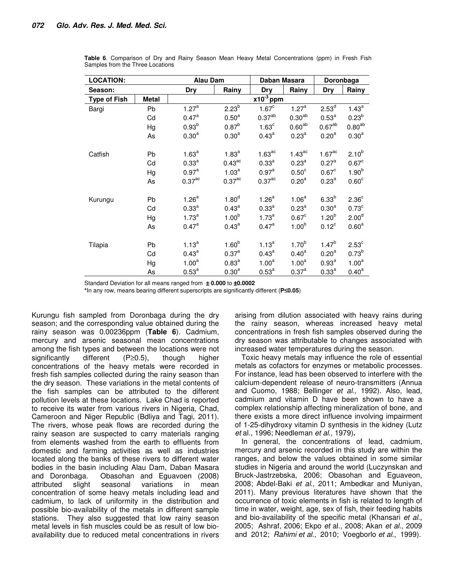| <b>LOCATION:</b>    |          | <b>Alau Dam</b><br>Daban Masara |                                        |                              |                                 | Doronbaga                       |                              |  |
|---------------------|----------|---------------------------------|----------------------------------------|------------------------------|---------------------------------|---------------------------------|------------------------------|--|
| Season:             |          | Dry                             | Rainy                                  | Dry<br>$x10^{-3}$ ppm        | Rainy                           | Dry                             | Rainy                        |  |
| <b>Type of Fish</b> | Metal    |                                 |                                        |                              |                                 |                                 |                              |  |
| Bargi               | Pb       | 1.27 <sup>a</sup>               | 2.23 <sup>b</sup>                      | 1.67 <sup>c</sup>            | 1.27 <sup>a</sup>               | 2.53 <sup>d</sup>               | $1.43^a$                     |  |
|                     | Cd       | $0.47^{\text{a}}$               | 0.50 <sup>a</sup>                      | 0.37 <sup>ab</sup>           | 0.30 <sup>ab</sup>              | $0.53^{a}$                      | $0.23^{b}$                   |  |
|                     | Hg       | 0.93 <sup>b</sup>               | $0.87^{b}$                             | 1.63 <sup>c</sup>            | $0.60^{ab}$                     | 0.67 <sup>ab</sup>              | $0.80^{ab}$                  |  |
|                     | As       | $0.30^{a}$                      | $0.30^{a}$                             | $0.43^{a}$                   | $0.23^{\circ}$                  | $0.20^{\rm a}$                  | $0.30^{a}$                   |  |
| Catfish             | Pb       | $1.63^{a}$                      | $1.83^{a}$                             | 1.63 <sup>ac</sup>           | $1.43$ <sup>ac</sup>            | 1.67 <sup>ac</sup>              | $2.10^{b}$                   |  |
|                     | Cd       | $0.33^{a}$                      | $0.43$ <sup>ac</sup>                   | $0.33^{a}$                   | $0.23^{a}$                      | 0.27 <sup>a</sup>               | 0.67 <sup>c</sup>            |  |
|                     | Hg       | $0.97^{\text{a}}$               | 1.03 <sup>a</sup>                      | $0.97^{\text{a}}$            | 0.50 <sup>c</sup>               | 0.67 <sup>c</sup>               | 1.90 <sup>b</sup>            |  |
|                     | As       | $0.37$ <sup>ac</sup>            | $0.37$ <sup>ac</sup>                   | $0.37$ <sup>ac</sup>         | 0.20 <sup>a</sup>               | $0.23^{a}$                      | 0.60 <sup>c</sup>            |  |
| Kurungu             | Pb       | 1.26 <sup>a</sup>               | 1.80 <sup>d</sup>                      | 1.26 <sup>a</sup>            | 1.06 <sup>a</sup>               | $6.33^{b}$                      | 2.36 <sup>c</sup>            |  |
|                     | Cd       | $0.33^{a}$                      | $0.43^a$                               | $0.33^{a}$                   | $0.23^{a}$                      | 0.30 <sup>a</sup>               | 0.73 <sup>c</sup>            |  |
|                     | Hg       | $1.73^a$                        | 1.00 <sup>b</sup>                      | $1.73^a$                     | 0.67 <sup>c</sup>               | $1.20^{b}$                      | 2.00 <sup>d</sup>            |  |
|                     | As       | $0.47^{\circ}$                  | $0.43^{\text{a}}$                      | $0.47^{\rm a}$               | 1.00 <sup>b</sup>               | $0.12^{\circ}$                  | $0.60^{\text{a}}$            |  |
| Tilapia             | Pb<br>Cd | $1.13^{a}$<br>$0.43^{\text{a}}$ | 1.60 <sup>b</sup><br>0.37 <sup>a</sup> | $1.13^{a}$<br>$0.43^{\circ}$ | $1.70^{b}$<br>$0.40^{\text{a}}$ | $1.47^{b}$<br>0.20 <sup>a</sup> | $2.53^{\circ}$<br>$0.73^{b}$ |  |
|                     | Hg       | 1.00 <sup>a</sup>               | $0.83^{a}$                             | 1.00 <sup>a</sup>            | 1.00 <sup>a</sup>               | $0.93^{a}$                      | 1.00 <sup>a</sup>            |  |
|                     | As       | $0.53^{a}$                      | 0.30 <sup>a</sup>                      | $0.53^{a}$                   | $0.37^{a}$                      | $0.33^{a}$                      | $0.40^{\text{a}}$            |  |

**Table 6**. Comparison of Dry and Rainy Season Mean Heavy Metal Concentrations (ppm) in Fresh Fish Samples from the Three Locations

Standard Deviation for all means ranged from ± **0.000** to ±**0.0002**

**\***In any row, means bearing different superscripts are significantly different (**P**≤**0.05**)

Kurungu fish sampled from Doronbaga during the dry season; and the corresponding value obtained during the rainy season was 0.00236ppm (**Table 6**). Cadmium, mercury and arsenic seasonal mean concentrations among the fish types and between the locations were not significantly different (P≥0.5), though higher concentrations of the heavy metals were recorded in fresh fish samples collected during the rainy season than the dry season. These variations in the metal contents of the fish samples can be attributed to the different pollution levels at these locations. Lake Chad is reported to receive its water from various rivers in Nigeria, Chad, Cameroon and Niger Republic (Bdliya and Tagi, 2011). The rivers, whose peak flows are recorded during the rainy season are suspected to carry materials ranging from elements washed from the earth to effluents from domestic and farming activities as well as industries located along the banks of these rivers to different water bodies in the basin including Alau Dam, Daban Masara and Doronbaga. Obasohan and Eguavoen (2008) attributed slight seasonal variations in mean concentration of some heavy metals including lead and cadmium, to lack of uniformity in the distribution and possible bio-availability of the metals in different sample stations. They also suggested that low rainy season metal levels in fish muscles could be as result of low bioavailability due to reduced metal concentrations in rivers

arising from dilution associated with heavy rains during the rainy season, whereas increased heavy metal concentrations in fresh fish samples observed during the dry season was attributable to changes associated with increased water temperatures during the season.

Toxic heavy metals may influence the role of essential metals as cofactors for enzymes or metabolic processes. For instance, lead has been observed to interfere with the calcium-dependent release of neuro-transmitters (Annua and Cuomo, 1988; Bellinger et al., 1992). Also, lead, cadmium and vitamin D have been shown to have a complex relationship affecting mineralization of bone, and there exists a more direct influence involving impairment of 1-25-dihydroxy vitamin D synthesis in the kidney (Lutz et al., 1996; Needleman et al., 1979)**.** 

In general, the concentrations of lead, cadmium, mercury and arsenic recorded in this study are within the ranges, and below the values obtained in some similar studies in Nigeria and around the world (Luczynskan and Bruck-Jastrzebska, 2006; Obasohan and Eguaveon, 2008; Abdel-Baki et al., 2011; Ambedkar and Muniyan, 2011). Many previous literatures have shown that the occurrence of toxic elements in fish is related to length of time in water, weight, age, sex of fish, their feeding habits and bio-availability of the specific metal (Khansari et al., 2005; Ashraf, 2006; Ekpo et al., 2008; Akan et al., 2009 and 2012; Rahimi et al., 2010; Voegborlo et al., 1999).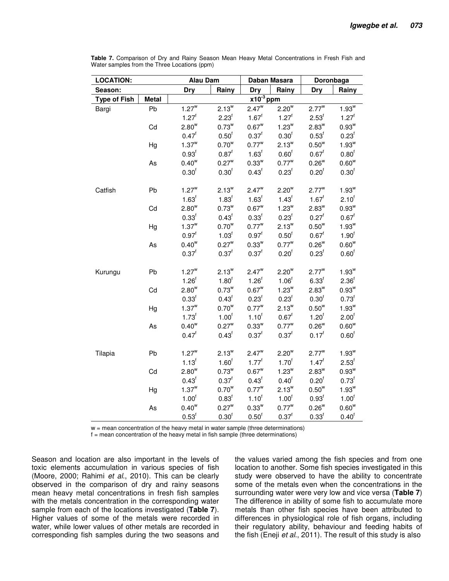| <b>LOCATION:</b>    |              | <b>Alau Dam</b><br>Daban Masara            |                       |                       |                   | Doronbaga         |                     |  |
|---------------------|--------------|--------------------------------------------|-----------------------|-----------------------|-------------------|-------------------|---------------------|--|
| Season:             |              | <b>Dry</b><br>Rainy<br><b>Dry</b><br>Rainy |                       |                       |                   | <b>Dry</b>        | Rainy               |  |
| <b>Type of Fish</b> | <b>Metal</b> |                                            |                       | $x10^{-3}$ ppm        |                   |                   |                     |  |
| Bargi               | Pb           | $1.27^w$                                   | $2.13^{\overline{w}}$ | $2.47^{\overline{w}}$ | $2.20^{\rm w}$    | $2.77^w$          | $1.93^{\rm w}$      |  |
|                     |              | $1.27^{f}$                                 | 2.23 <sup>f</sup>     | $1.67^{f}$            | $1.27^{f}$        | 2.53 <sup>f</sup> | $1.27^{f}$          |  |
|                     | Cd           | $2.80^w$                                   | $0.73^w$              | $0.67^w$              | $1.23^w$          | $2.83^w$          | $0.93^{w}$          |  |
|                     |              | $0.47^{\dagger}$                           | 0.50 <sup>f</sup>     | $0.37^{f}$            | 0.30 <sup>f</sup> | 0.53 <sup>f</sup> | 0.23 <sup>f</sup>   |  |
|                     | Hg           | $1.37^w$                                   | $0.70^{w}$            | $0.77^{\rm w}$        | $2.13^{w}$        | $0.50^w$          | $1.93^w$            |  |
|                     |              | 0.93 <sup>f</sup>                          | $0.87^{\rm f}$        | 1.63 <sup>f</sup>     | 0.60 <sup>f</sup> | $0.67^f$          | 0.80 <sup>f</sup>   |  |
|                     | As           | $0.40^w$                                   | $0.27^w$              | $0.33^w$              | $0.77^{\rm w}$    | $0.26^{w}$        | $0.60^w$            |  |
|                     |              | 0.30 <sup>f</sup>                          | 0.30 <sup>f</sup>     | 0.43 <sup>f</sup>     | 0.23 <sup>f</sup> | 0.20 <sup>f</sup> | 0.30 <sup>f</sup>   |  |
| Catfish             | Pb           | $1.27^w$                                   | $2.13^w$              | $2.47^w$              | $2.20^w$          | $2.77^{\rm w}$    | $1.93^{\rm w}$      |  |
|                     |              | $1.63^f$                                   | 1.83 <sup>f</sup>     | $1.63^f$              | $1.43^{f}$        | $1.67^f$          | 2.10 <sup>1</sup>   |  |
|                     | Cd           | $2.80^w$                                   | $0.73^{w}$            | $0.67^w$              | $1.23^w$          | $2.83^w$          | $0.93^{w}$          |  |
|                     |              | 0.33 <sup>f</sup>                          | 0.43 <sup>f</sup>     | 0.33 <sup>f</sup>     | $0.23^{\text{f}}$ | $0.27^f$          | $0.67^{\text{f}}$   |  |
|                     | Hg           | $1.37^w$                                   | $0.70^{w}$            | $0.77^{\rm w}$        | $2.13^w$          | $0.50^w$          | $1.93^w$            |  |
|                     |              | $0.97^{\text{f}}$                          | 1.03 <sup>f</sup>     | $0.97^{\text{f}}$     | 0.50 <sup>f</sup> | $0.67^{\text{f}}$ | 1.90 <sup>f</sup>   |  |
|                     | As           | $0.40^w$                                   | $0.27^w$              | $0.33^w$              | $0.77^{\rm w}$    | $0.26^w$          | $0.60^w$            |  |
|                     |              | $0.37^{f}$                                 | $0.37^{f}$            | $0.37^f$              | 0.20 <sup>f</sup> | 0.23 <sup>f</sup> | 0.60 <sup>f</sup>   |  |
| Kurungu             | Pb           | $1.27^w$                                   | $2.13^w$              | $2.47^w$              | $2.20^w$          | $2.77^w$          | $1.93^w$            |  |
|                     |              | 1.26 <sup>f</sup>                          | 1.80 <sup>f</sup>     | $1.26^{f}$            | 1.06 <sup>f</sup> | 6.33 <sup>f</sup> | 2.36 <sup>f</sup>   |  |
|                     | Cd           | $2.80^w$                                   | $0.73^w$              | $0.67^w$              | $1.23^w$          | $2.83^w$          | $0.93^{w}$          |  |
|                     |              | 0.33 <sup>f</sup>                          | 0.43 <sup>f</sup>     | 0.23 <sup>f</sup>     | 0.23 <sup>f</sup> | 0.30 <sup>f</sup> | $0.73^{\text{f}}$   |  |
|                     | Hg           | $1.37^w$                                   | $0.70^{w}$            | $0.77^{\rm w}$        | $2.13^{w}$        | $0.50^{w}$        | $1.93^w$            |  |
|                     |              | $1.73^{f}$                                 | 1.00 <sup>f</sup>     | $1.10^{f}$            | $0.67^f$          | 1.20 <sup>f</sup> | 2.00 <sup>1</sup>   |  |
|                     | As           | $0.40^w$                                   | $0.27^w$              | $0.33^w$              | $0.77^w$          | $0.26^{w}$        | $0.60^{\rm w}$      |  |
|                     |              | $0.47^{\text{f}}$                          | 0.43 <sup>f</sup>     | $0.37^{f}$            | 0.37 <sup>f</sup> | $0.17^f$          | 0.60 <sup>f</sup>   |  |
| Tilapia             | Pb           | $1.27^w$                                   | $2.13^w$              | $2.47^w$              | $2.20^w$          | $2.77^{\rm w}$    | $1.93^w$            |  |
|                     |              | $1.13^{f}$                                 | 1.60 <sup>f</sup>     | $1.77^{f}$            | 1.70 <sup>1</sup> | $1.47^{f}$        | $2.53^{\mathrm{f}}$ |  |
|                     | Cd           | $2.80^w$                                   | $0.73^w$              | $0.67^w$              | $1.23^w$          | $2.83^w$          | $0.93^w$            |  |
|                     |              | 0.43 <sup>f</sup>                          | $0.37^{\dagger}$      | $0.43^{\text{f}}$     | 0.40 <sup>†</sup> | 0.20 <sup>f</sup> | $0.73^{\text{f}}$   |  |
|                     | Hg           | $1.37^w$                                   | $0.70^{\rm w}$        | $0.77^{\rm w}$        | $2.13^{w}$        | $0.50^w$          | $1.93^w$            |  |
|                     |              | 1.00 <sup>f</sup>                          | $0.83^{\rm f}$        | 1.10 <sup>f</sup>     | 1.00 <sup>f</sup> | 0.93 <sup>f</sup> | 1.00 <sup>f</sup>   |  |
|                     | As           | $0.40^{\rm w}$                             | $0.27^{\rm w}$        | $0.33^w$              | $0.77^{\rm w}$    | $0.26^{w}$        | $0.60^w$            |  |
|                     |              | 0.53 <sup>f</sup>                          | 0.30 <sup>f</sup>     | 0.50 <sup>f</sup>     | $0.37^{f}$        | 0.33 <sup>f</sup> | 0.40 <sup>f</sup>   |  |

**Table 7.** Comparison of Dry and Rainy Season Mean Heavy Metal Concentrations in Fresh Fish and Water samples from the Three Locations (ppm)

 $w =$  mean concentration of the heavy metal in water sample (three determinations)

f = mean concentration of the heavy metal in fish sample (three determinations)

Season and location are also important in the levels of toxic elements accumulation in various species of fish (Moore, 2000; Rahimi et al., 2010). This can be clearly observed in the comparison of dry and rainy seasons mean heavy metal concentrations in fresh fish samples with the metals concentration in the corresponding water sample from each of the locations investigated (**Table 7**). Higher values of some of the metals were recorded in water, while lower values of other metals are recorded in corresponding fish samples during the two seasons and the values varied among the fish species and from one location to another. Some fish species investigated in this study were observed to have the ability to concentrate some of the metals even when the concentrations in the surrounding water were very low and vice versa (**Table 7**) The difference in ability of some fish to accumulate more metals than other fish species have been attributed to differences in physiological role of fish organs, including their regulatory ability, behaviour and feeding habits of the fish (Eneji et al., 2011). The result of this study is also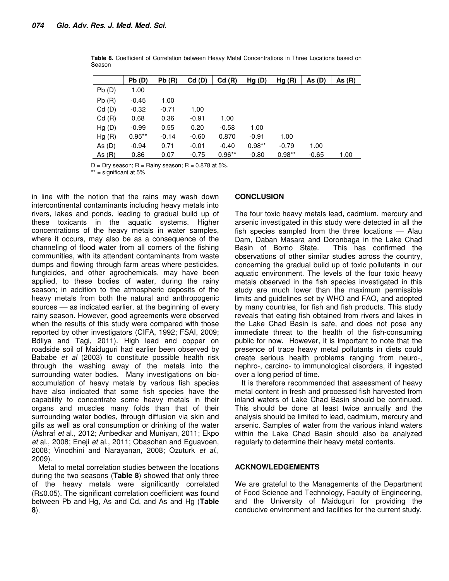|            | Pb(D)    | Pb(R)   | Cd(D)   | Cd(R)    | Hg(D)    | Hg(R)    | As(D)   | As $(R)$ |
|------------|----------|---------|---------|----------|----------|----------|---------|----------|
| Pb(D)      | 1.00     |         |         |          |          |          |         |          |
| Pb(R)      | $-0.45$  | 1.00    |         |          |          |          |         |          |
| $Cd$ $(D)$ | $-0.32$  | $-0.71$ | 1.00    |          |          |          |         |          |
| Cd(R)      | 0.68     | 0.36    | $-0.91$ | 1.00     |          |          |         |          |
| Hg(D)      | $-0.99$  | 0.55    | 0.20    | $-0.58$  | 1.00     |          |         |          |
| Hg(R)      | $0.95**$ | $-0.14$ | $-0.60$ | 0.870    | $-0.91$  | 1.00     |         |          |
| As $(D)$   | $-0.94$  | 0.71    | $-0.01$ | $-0.40$  | $0.98**$ | $-0.79$  | 1.00    |          |
| As $(R)$   | 0.86     | 0.07    | $-0.75$ | $0.96**$ | $-0.80$  | $0.98**$ | $-0.65$ | 1.00     |

**Table 8.** Coefficient of Correlation between Heavy Metal Concentrations in Three Locations based on Season

 $D = Dry season$ ;  $R = Rainy season$ ;  $R = 0.878$  at 5%.

\*\* = significant at 5%

in line with the notion that the rains may wash down intercontinental contaminants including heavy metals into rivers, lakes and ponds, leading to gradual build up of these toxicants in the aquatic systems. Higher concentrations of the heavy metals in water samples, where it occurs, may also be as a consequence of the channeling of flood water from all corners of the fishing communities, with its attendant contaminants from waste dumps and flowing through farm areas where pesticides, fungicides, and other agrochemicals, may have been applied, to these bodies of water, during the rainy season; in addition to the atmospheric deposits of the heavy metals from both the natural and anthropogenic sources  $-$  as indicated earlier, at the beginning of every rainy season. However, good agreements were observed when the results of this study were compared with those reported by other investigators (CIFA, 1992; FSAI, 2009; Bdliya and Tagi, 2011). High lead and copper on roadside soil of Maiduguri had earlier been observed by Bababe et al (2003) to constitute possible health risk through the washing away of the metals into the surrounding water bodies. Many investigations on bioaccumulation of heavy metals by various fish species have also indicated that some fish species have the capability to concentrate some heavy metals in their organs and muscles many folds than that of their surrounding water bodies, through diffusion via skin and gills as well as oral consumption or drinking of the water (Ashraf et al., 2012; Ambedkar and Muniyan, 2011; Ekpo et al., 2008; Eneji et al., 2011; Obasohan and Eguavoen, 2008; Vinodhini and Narayanan, 2008; Ozuturk et al., 2009).

Metal to metal correlation studies between the locations during the two seasons (**Table 8**) showed that only three of the heavy metals were significantly correlated (R≤0.05). The significant correlation coefficient was found between Pb and Hg, As and Cd, and As and Hg (**Table 8**).

#### **CONCLUSION**

The four toxic heavy metals lead, cadmium, mercury and arsenic investigated in this study were detected in all the fish species sampled from the three locations  $-$  Alau Dam, Daban Masara and Doronbaga in the Lake Chad Basin of Borno State. This has confirmed the observations of other similar studies across the country, concerning the gradual build up of toxic pollutants in our aquatic environment. The levels of the four toxic heavy metals observed in the fish species investigated in this study are much lower than the maximum permissible limits and guidelines set by WHO and FAO, and adopted by many countries, for fish and fish products. This study reveals that eating fish obtained from rivers and lakes in the Lake Chad Basin is safe, and does not pose any immediate threat to the health of the fish-consuming public for now. However, it is important to note that the presence of trace heavy metal pollutants in diets could create serious health problems ranging from neuro-, nephro-, carcino- to immunological disorders, if ingested over a long period of time.

It is therefore recommended that assessment of heavy metal content in fresh and processed fish harvested from inland waters of Lake Chad Basin should be continued. This should be done at least twice annually and the analysis should be limited to lead, cadmium, mercury and arsenic. Samples of water from the various inland waters within the Lake Chad Basin should also be analyzed regularly to determine their heavy metal contents.

#### **ACKNOWLEDGEMENTS**

We are grateful to the Managements of the Department of Food Science and Technology, Faculty of Engineering, and the University of Maiduguri for providing the conducive environment and facilities for the current study.